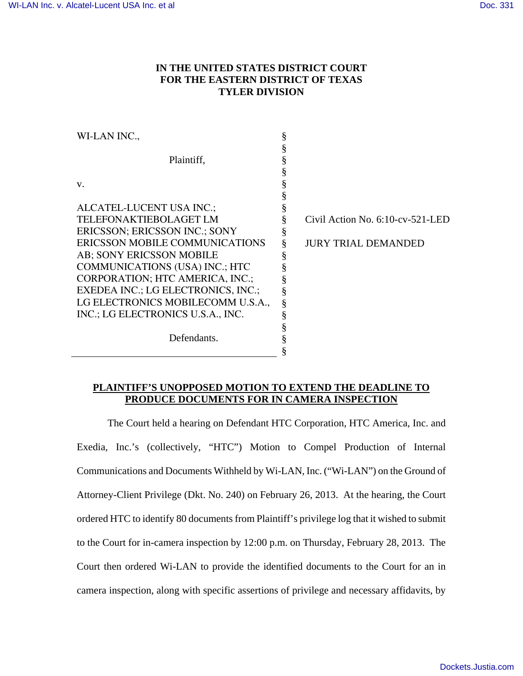## **IN THE UNITED STATES DISTRICT COURT FOR THE EASTERN DISTRICT OF TEXAS TYLER DIVISION**

| WI-LAN INC.,                          |                                  |
|---------------------------------------|----------------------------------|
|                                       |                                  |
| Plaintiff,                            |                                  |
|                                       |                                  |
| V.                                    |                                  |
|                                       |                                  |
| ALCATEL-LUCENT USA INC.;              |                                  |
| TELEFONAKTIEBOLAGET LM                | Civil Action No. 6:10-cv-521-LED |
| ERICSSON; ERICSSON INC.; SONY         |                                  |
| ERICSSON MOBILE COMMUNICATIONS        | <b>JURY TRIAL DEMANDED</b>       |
| AB; SONY ERICSSON MOBILE              |                                  |
| <b>COMMUNICATIONS (USA) INC.; HTC</b> |                                  |
| CORPORATION; HTC AMERICA, INC.;       |                                  |
| EXEDEA INC.; LG ELECTRONICS, INC.;    |                                  |
| LG ELECTRONICS MOBILECOMM U.S.A.,     |                                  |
| INC.; LG ELECTRONICS U.S.A., INC.     |                                  |
|                                       |                                  |
| Defendants.                           |                                  |
|                                       |                                  |

## **PLAINTIFF'S UNOPPOSED MOTION TO EXTEND THE DEADLINE TO PRODUCE DOCUMENTS FOR IN CAMERA INSPECTION**

 The Court held a hearing on Defendant HTC Corporation, HTC America, Inc. and Exedia, Inc.'s (collectively, "HTC") Motion to Compel Production of Internal Communications and Documents Withheld by Wi-LAN, Inc. ("Wi-LAN") on the Ground of Attorney-Client Privilege (Dkt. No. 240) on February 26, 2013. At the hearing, the Court ordered HTC to identify 80 documents from Plaintiff's privilege log that it wished to submit to the Court for in-camera inspection by 12:00 p.m. on Thursday, February 28, 2013. The Court then ordered Wi-LAN to provide the identified documents to the Court for an in camera inspection, along with specific assertions of privilege and necessary affidavits, by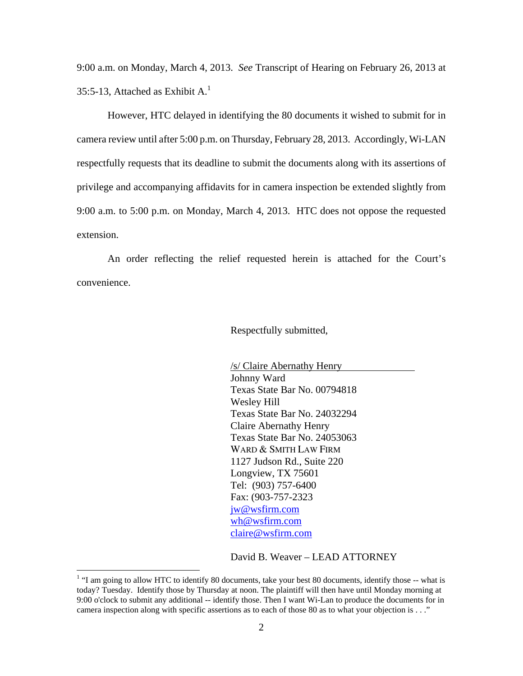9:00 a.m. on Monday, March 4, 2013. *See* Transcript of Hearing on February 26, 2013 at 35:5-13, Attached as Exhibit  $A<sup>1</sup>$ .

 However, HTC delayed in identifying the 80 documents it wished to submit for in camera review until after 5:00 p.m. on Thursday, February 28, 2013. Accordingly, Wi-LAN respectfully requests that its deadline to submit the documents along with its assertions of privilege and accompanying affidavits for in camera inspection be extended slightly from 9:00 a.m. to 5:00 p.m. on Monday, March 4, 2013. HTC does not oppose the requested extension.

 An order reflecting the relief requested herein is attached for the Court's convenience.

Respectfully submitted,

 /s/ Claire Abernathy Henry Johnny Ward Texas State Bar No. 00794818 Wesley Hill Texas State Bar No. 24032294 Claire Abernathy Henry Texas State Bar No. 24053063 WARD & SMITH LAW FIRM 1127 Judson Rd., Suite 220 Longview, TX 75601 Tel: (903) 757-6400 Fax: (903-757-2323 jw@wsfirm.com wh@wsfirm.com claire@wsfirm.com

David B. Weaver – LEAD ATTORNEY

 $\overline{a}$ 

<sup>&</sup>lt;sup>1</sup> "I am going to allow HTC to identify 80 documents, take your best 80 documents, identify those -- what is today? Tuesday. Identify those by Thursday at noon. The plaintiff will then have until Monday morning at 9:00 o'clock to submit any additional -- identify those. Then I want Wi-Lan to produce the documents for in camera inspection along with specific assertions as to each of those 80 as to what your objection is . . ."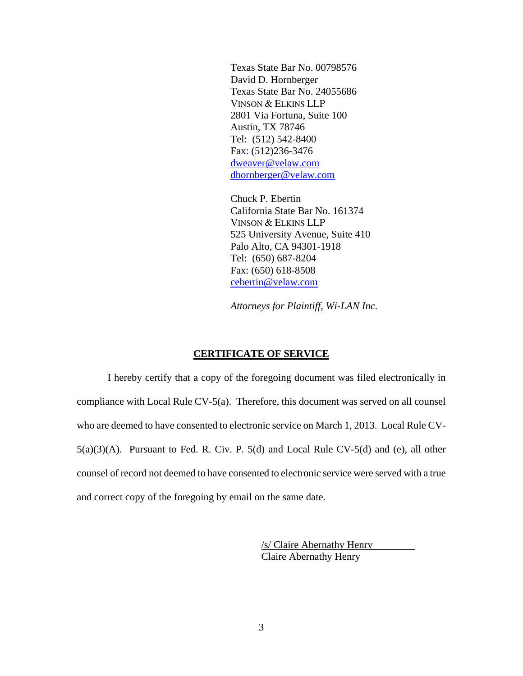Texas State Bar No. 00798576 David D. Hornberger Texas State Bar No. 24055686 VINSON & ELKINS LLP 2801 Via Fortuna, Suite 100 Austin, TX 78746 Tel: (512) 542-8400 Fax: (512)236-3476 dweaver@velaw.com dhornberger@velaw.com

Chuck P. Ebertin California State Bar No. 161374 VINSON & ELKINS LLP 525 University Avenue, Suite 410 Palo Alto, CA 94301-1918 Tel: (650) 687-8204 Fax: (650) 618-8508 cebertin@velaw.com

*Attorneys for Plaintiff, Wi-LAN Inc.*

## **CERTIFICATE OF SERVICE**

I hereby certify that a copy of the foregoing document was filed electronically in compliance with Local Rule CV-5(a). Therefore, this document was served on all counsel who are deemed to have consented to electronic service on March 1, 2013. Local Rule CV- $5(a)(3)(A)$ . Pursuant to Fed. R. Civ. P.  $5(d)$  and Local Rule CV- $5(d)$  and (e), all other counsel of record not deemed to have consented to electronic service were served with a true and correct copy of the foregoing by email on the same date.

> /s/ Claire Abernathy Henry Claire Abernathy Henry